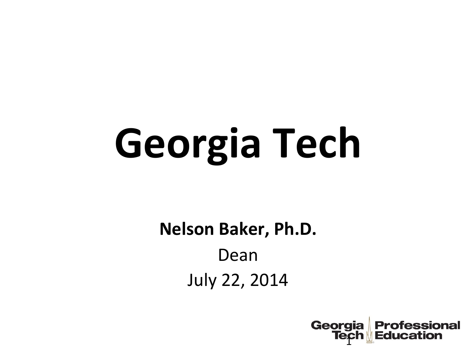# Georgia Tech

Nelson Baker, Ph.D. Dean **July 22, 2014** 

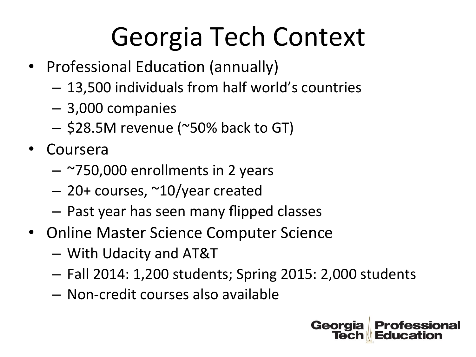# Georgia Tech Context

- Professional Education (annually)
	- $-13,500$  individuals from half world's countries
	- $-$  3,000 companies
	- $-$  \$28.5M revenue (~50% back to GT)
- Coursera
	- $-$  ~750,000 enrollments in 2 years
	- $-$  20+ courses,  $\sim$ 10/year created
	- $-$  Past year has seen many flipped classes
- Online Master Science Computer Science
	- With!Udacity!and!AT&T!
	- $-$  Fall 2014: 1,200 students; Spring 2015: 2,000 students
	- $-$  Non-credit courses also available

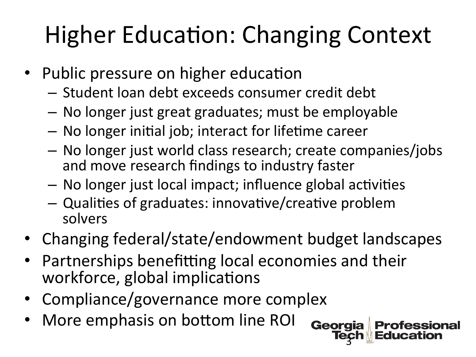# **Higher Education: Changing Context**

- Public pressure on higher education
	- Student loan debt exceeds consumer credit debt
	- No longer just great graduates; must be employable
	- No longer initial job; interact for lifetime career
	- No longer just world class research; create companies/jobs and move research findings to industry faster
	- No longer just local impact; influence global activities
	- Qualities of graduates: innovative/creative problem solvers
- Changing federal/state/endowment budget landscapes

**Professional** 

- Partnerships benefitting local economies and their workforce, global implications
- Compliance/governance more complex
- More emphasis on bottom line ROI **Georgia**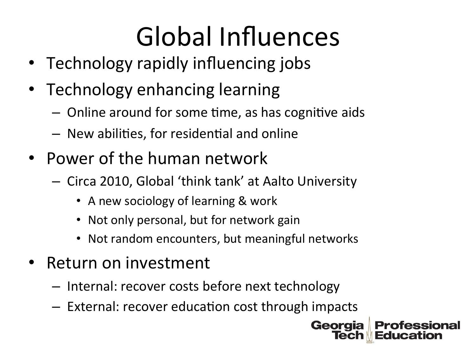# Global Influences

- Technology rapidly influencing jobs
- Technology enhancing learning
	- $-$  Online around for some time, as has cognitive aids
	- $-$  New abilities, for residential and online
- Power of the human network
	- Circa 2010, Global 'think tank' at Aalto University
		- A new sociology of learning & work
		- Not only personal, but for network gain
		- Not random encounters, but meaningful networks
- Return on investment
	- $-$  Internal: recover costs before next technology
	- $-$  External: recover education cost through impacts

Georgia

**Professional**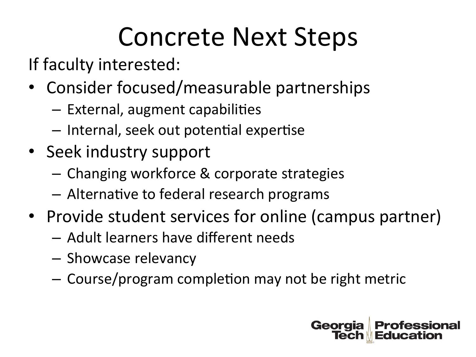# Concrete Next Steps

If faculty interested:

- Consider focused/measurable partnerships
	- $-$  External, augment capabilities
	- $-$  Internal, seek out potential expertise
- Seek industry support
	- Changing workforce & corporate strategies
	- $-$  Alternative to federal research programs
- Provide student services for online (campus partner)
	- $-$  Adult learners have different needs
	- Showcase relevancy
	- $-$  Course/program completion may not be right metric

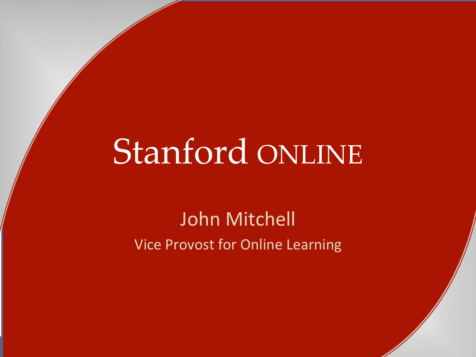# Stanford ONLINE

John Mitchell Vice Provost for Online Learning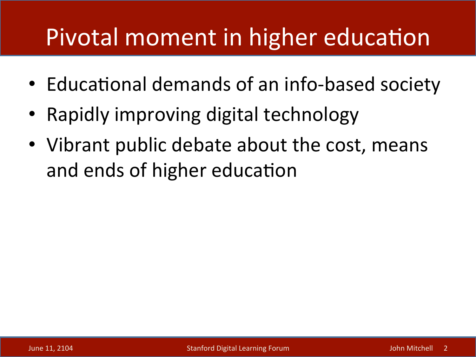### Pivotal moment in higher education

- Educational demands of an info-based society
- Rapidly improving digital technology
- Vibrant public debate about the cost, means and ends of higher education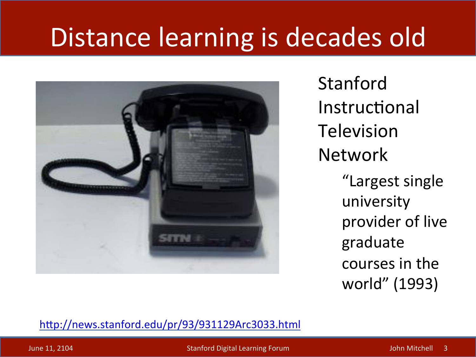# Distance learning is decades old



Stanford% **Instructional Television** Network "Largest single university provider of live graduate courses in the world" (1993)

http://news.stanford.edu/pr/93/931129Arc3033.html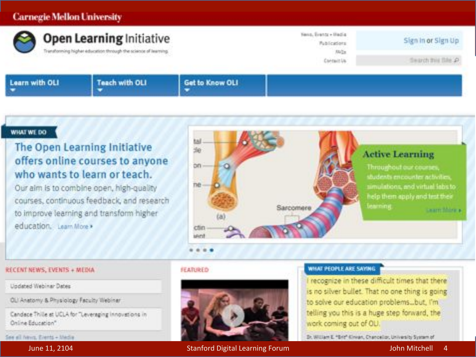### **Carnegie Mellon University**



### WHAT WE DO

### The Open Learning Initiative offers online courses to anyone who wants to learn or teach.

Our aim is to combine open, high-quality courses, continuous feedback, and research to improve learning and transform higher education. Learn More >



#### **RECENT NEWS, EVENTS + MEDIA**

Updated Webinar Dates

OLI Anatomy & Physiology Faculty Weblinar,

Candace Thile at UCLA for "Leveraging innovations in Online Education"

See all Nevo, Events + Media

June 11, 2104

### **JEATURED**



### **Stanford Digital Learning Forum**

### WHAT PEOPLE ARE SAYING

I recognize in these difficult times that there is no silver bullet. That no one thing is going to solve our education problems... but, I'm telling you this is a huge step forward, the work coming out of OLI.

Dr. William E. "Brit" Kinvan, Chancellor, University System of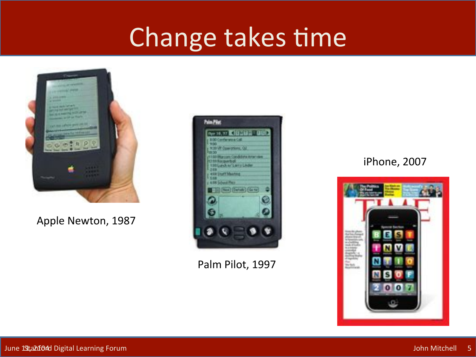## Change takes time



### Apple Newton, 1987



Palm Pilot, 1997

### iPhone, 2007

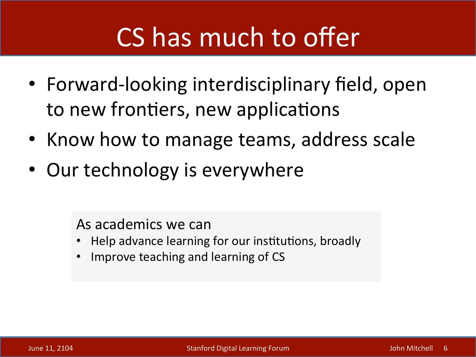# CS has much to offer

- Forward-looking interdisciplinary field, open to new frontiers, new applications
- Know how to manage teams, address scale
- Our technology is everywhere

As academics we can

- Help advance learning for our institutions, broadly
- Improve teaching and learning of CS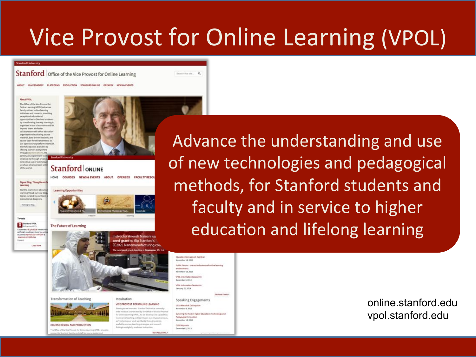### Vice Provost for Online Learning (VPOL)

#### **Stanford Universit**

Stanford office of the Vice Provost for Online Learning

ABOUT ID& PESADOY PLATFORMS PRODUCTION STANFORD ONLINE OPENIDE NEWSALEVENTS

#### Allega Vitata

The Office of the Vice Process for Driline Learning (VPOL) advances **Bandhouthours** welling beaming initiations and research, providing monotonic advertised pportunities to Stanford student by transforming the way learning is sigarized in our classrooms and far beyond them. We foster collaboration with other education organizations by sharing course material, data driven research, and source code for enhancements to our open source platform OpenEdi We make courses available to lifelong learners everywher through Stanford Online, Wa what we do through creat vative use of ted we share what we learn a



### **Stanford ONLINE**



of the world

learning? Read our new blo Signal, curated by our tex **Insultional designers** 

Barters VPOL

**Visit Signal Blog** 

Learning Opportunities

#### The Future of Learning

Codewater Billyfrok.at re artificially intelligent bytor for students stanford jo/1/VFEM stanford in/1 (MAVias Lead Man

HOME COURSES NEWS&EVENTS ABOUT OPENEDX FACULTY RESOL

istructor Aneesh Nainani us seed grant to flip Stanford's

Transformation of Teaching

COURSE DESIGN AND PRODUCTION

**History Complete Hill** 

The Office of the title Process for Druste Learning (MVX.) provide apert to Stanford faculty and staff for source sholan and

#### VICE PROVOST FOR ONLINE LEARNING

Incubation

Sharing as we innovate: Stanford Dollin is a university the coordinated by the Office of the Vice Pro for Deline Learning (VPDL). As we develop new capabilities to enhance teaching and learning on our physical campus write pharing your work worldwide through publicly available courses, teaching strategies, and research Redings on digitally mediated instruction

Education Reimagined - Sal Khar Movember 14, 2013 Public Fairure - the art and science of oridine learning environments November 19, 2013 **1005** Industrialism Security #1 December 3, 2013 office induceration Section #4 January 21, 2014 See More Events v Speaking Engagements UCLA Marschak Californist November 8, 2013 Surviving the 'End of Higher Education': Technology and

Search Roughe ... . Q

Perhapspiral tenovation November 13, 2013 CLIM! Keynols December 5, 2013

Advance the understanding and use of new technologies and pedagogical methods, for Stanford students and faculty and in service to higher education and lifelong learning

> online stanford edu vpol.stanford.edu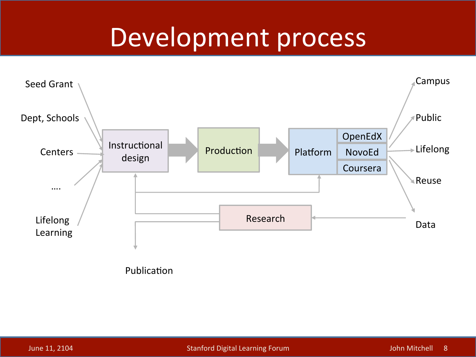### Development process



Publication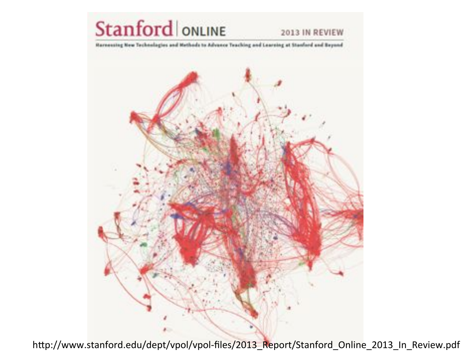

2013 IN REVIEW

**Harnessing New Technologies and Methods to Advance Teaching and Laureing at Stanford and Beyond** 



http://www.stanford.edu/dept/vpol/vpol-files/2013\_Report/Stanford\_Online\_2013\_In\_Review.pdf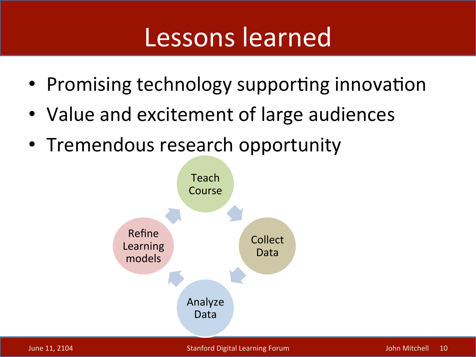### Lessons learned

- Promising technology supporting innovation
- Value and excitement of large audiences
- Tremendous research opportunity

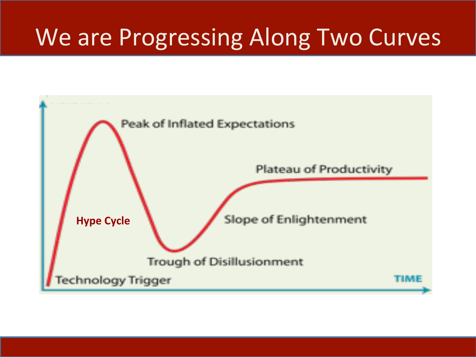### We are Progressing Along Two Curves

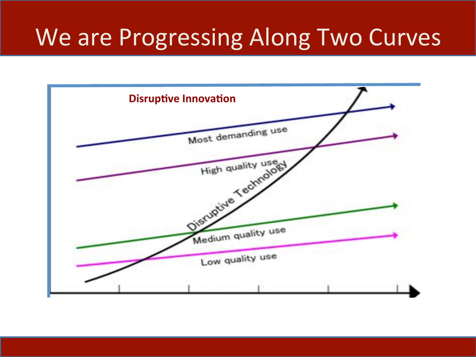### We are Progressing Along Two Curves

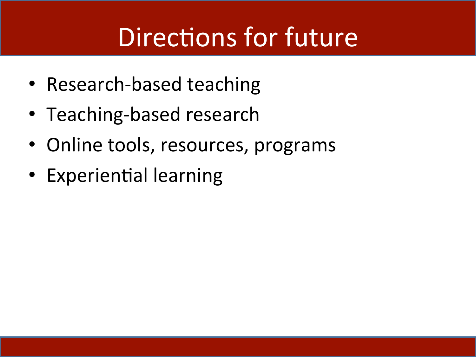# Directions for future

- Research-based teaching
- Teaching-based research
- Online tools, resources, programs
- Experiential learning